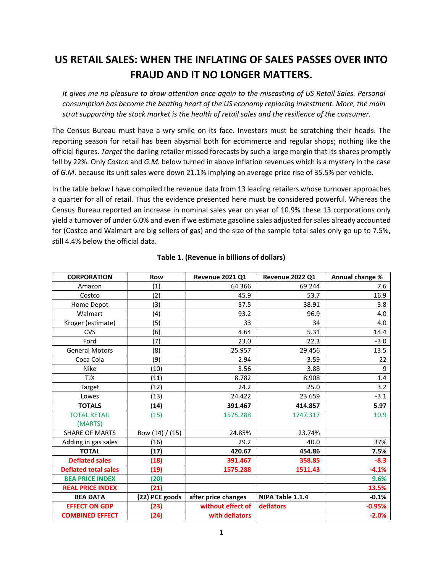# **US RETAIL SALES: WHEN THE INFLATING OF SALES PASSES OVER INTO FRAUD AND IT NO LONGER MATTERS.**

*It gives me no pleasure to draw attention once again to the miscasting of US Retail Sales. Personal consumption has become the beating heart of the US economy replacing investment. More, the main strut supporting the stock market is the health of retail sales and the resilience of the consumer.*

The Census Bureau must have a wry smile on its face. Investors must be scratching their heads. The reporting season for retail has been abysmal both for ecommerce and regular shops; nothing like the official figures. *Target* the darling retailer missed forecasts by such a large margin that its shares promptly fell by 22%. Only *Costco* and *G.M.* below turned in above inflation revenues which is a mystery in the case of *G.M*. because its unit sales were down 21.1% implying an average price rise of 35.5% per vehicle.

In the table below I have compiled the revenue data from 13 leading retailers whose turnover approaches a quarter for all of retail. Thus the evidence presented here must be considered powerful. Whereas the Census Bureau reported an increase in nominal sales year on year of 10.9% these 13 corporations only yield a turnover of under 6.0% and even if we estimate gasoline sales adjusted for sales already accounted for (Costco and Walmart are big sellers of gas) and the size of the sample total sales only go up to 7.5%, still 4.4% below the official data.

| <b>CORPORATION</b>          | <b>Row</b>        | <b>Revenue 2021 Q1</b> | <b>Revenue 2022 Q1</b> | Annual change % |
|-----------------------------|-------------------|------------------------|------------------------|-----------------|
| Amazon                      | (1)               | 64.366                 | 69.244                 | 7.6             |
| Costco                      | (2)               | 45.9                   | 53.7                   | 16.9            |
| Home Depot                  | (3)               | 37.5                   | 38.91                  | 3.8             |
| Walmart                     | (4)               | 93.2                   | 96.9                   | 4.0             |
| Kroger (estimate)           | (5)               | 33                     | 34                     | 4.0             |
| <b>CVS</b>                  | (6)               | 4.64                   | 5.31                   | 14.4            |
| Ford                        | (7)               | 23.0                   | 22.3                   | $-3.0$          |
| <b>General Motors</b>       | (8)               | 25.957                 | 29.456                 | 13.5            |
| Coca Cola                   | (9)               | 2.94                   | 3.59                   | 22              |
| <b>Nike</b>                 | (10)              | 3.56                   | 3.88                   | 9               |
| <b>TJX</b>                  | (11)              | 8.782                  | 8.908                  | 1.4             |
| Target                      | (12)              | 24.2                   | 25.0                   | 3.2             |
| Lowes                       | (13)              | 24.422                 | 23.659                 | $-3.1$          |
| <b>TOTALS</b>               | (14)              | 391.467                | 414.857                | 5.97            |
| <b>TOTAL RETAIL</b>         | (15)              | 1575.288               | 1747.317               | 10.9            |
| (MARTS)                     |                   |                        |                        |                 |
| <b>SHARE OF MARTS</b>       | Row $(14) / (15)$ | 24.85%                 | 23.74%                 |                 |
| Adding in gas sales         | (16)              | 29.2                   | 40.0                   | 37%             |
| <b>TOTAL</b>                | (17)              | 420.67                 | 454.86                 | 7.5%            |
| <b>Deflated sales</b>       | (18)              | 391.467                | 358.85                 | $-8.3$          |
| <b>Deflated total sales</b> | (19)              | 1575.288               | 1511.43                | $-4.1%$         |
| <b>BEA PRICE INDEX</b>      | (20)              |                        |                        | 9.6%            |
| <b>REAL PRICE INDEX</b>     | (21)              |                        |                        | 13.5%           |
| <b>BEA DATA</b>             | (22) PCE goods    | after price changes    | NIPA Table 1.1.4       | $-0.1%$         |
| <b>EFFECT ON GDP</b>        | (23)              | without effect of      | deflators              | $-0.95%$        |
| <b>COMBINED EFFECT</b>      | (24)              | with deflators         |                        | $-2.0%$         |

# **Table 1. (Revenue in billions of dollars)**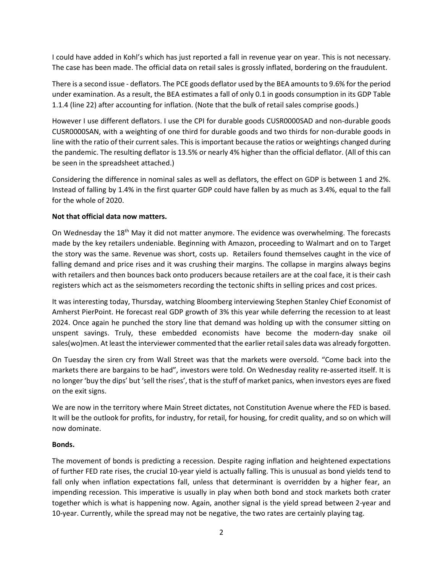I could have added in Kohl's which has just reported a fall in revenue year on year. This is not necessary. The case has been made. The official data on retail sales is grossly inflated, bordering on the fraudulent.

There is a second issue - deflators. The PCE goods deflator used by the BEA amounts to 9.6% for the period under examination. As a result, the BEA estimates a fall of only 0.1 in goods consumption in its GDP Table 1.1.4 (line 22) after accounting for inflation. (Note that the bulk of retail sales comprise goods.)

However I use different deflators. I use the CPI for durable goods CUSR0000SAD and non-durable goods CUSR0000SAN, with a weighting of one third for durable goods and two thirds for non-durable goods in line with the ratio of their current sales. This is important because the ratios or weightings changed during the pandemic. The resulting deflator is 13.5% or nearly 4% higher than the official deflator. (All of this can be seen in the spreadsheet attached.)

Considering the difference in nominal sales as well as deflators, the effect on GDP is between 1 and 2%. Instead of falling by 1.4% in the first quarter GDP could have fallen by as much as 3.4%, equal to the fall for the whole of 2020.

# **Not that official data now matters.**

On Wednesday the 18th May it did not matter anymore. The evidence was overwhelming. The forecasts made by the key retailers undeniable. Beginning with Amazon, proceeding to Walmart and on to Target the story was the same. Revenue was short, costs up. Retailers found themselves caught in the vice of falling demand and price rises and it was crushing their margins. The collapse in margins always begins with retailers and then bounces back onto producers because retailers are at the coal face, it is their cash registers which act as the seismometers recording the tectonic shifts in selling prices and cost prices.

It was interesting today, Thursday, watching Bloomberg interviewing Stephen Stanley Chief Economist of Amherst PierPoint. He forecast real GDP growth of 3% this year while deferring the recession to at least 2024. Once again he punched the story line that demand was holding up with the consumer sitting on unspent savings. Truly, these embedded economists have become the modern-day snake oil sales(wo)men. At least the interviewer commented that the earlier retail sales data was already forgotten.

On Tuesday the siren cry from Wall Street was that the markets were oversold. "Come back into the markets there are bargains to be had", investors were told. On Wednesday reality re-asserted itself. It is no longer 'buy the dips' but 'sell the rises', that is the stuff of market panics, when investors eyes are fixed on the exit signs.

We are now in the territory where Main Street dictates, not Constitution Avenue where the FED is based. It will be the outlook for profits, for industry, for retail, for housing, for credit quality, and so on which will now dominate.

## **Bonds.**

The movement of bonds is predicting a recession. Despite raging inflation and heightened expectations of further FED rate rises, the crucial 10-year yield is actually falling. This is unusual as bond yields tend to fall only when inflation expectations fall, unless that determinant is overridden by a higher fear, an impending recession. This imperative is usually in play when both bond and stock markets both crater together which is what is happening now. Again, another signal is the yield spread between 2-year and 10-year. Currently, while the spread may not be negative, the two rates are certainly playing tag.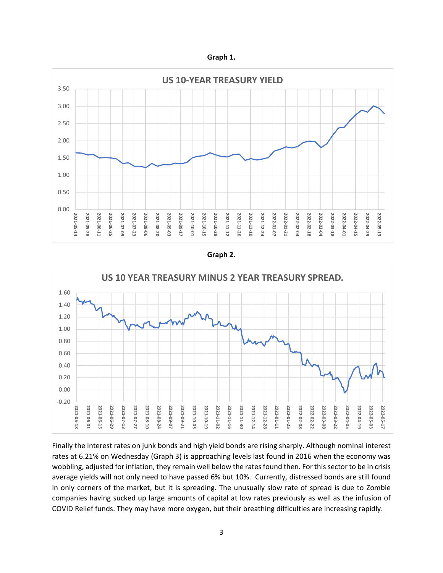**Graph 1.**



#### **Graph 2.**



Finally the interest rates on junk bonds and high yield bonds are rising sharply. Although nominal interest rates at 6.21% on Wednesday (Graph 3) is approaching levels last found in 2016 when the economy was wobbling, adjusted for inflation, they remain well below the rates found then. For this sector to be in crisis average yields will not only need to have passed 6% but 10%. Currently, distressed bonds are still found in only corners of the market, but it is spreading. The unusually slow rate of spread is due to Zombie companies having sucked up large amounts of capital at low rates previously as well as the infusion of COVID Relief funds. They may have more oxygen, but their breathing difficulties are increasing rapidly.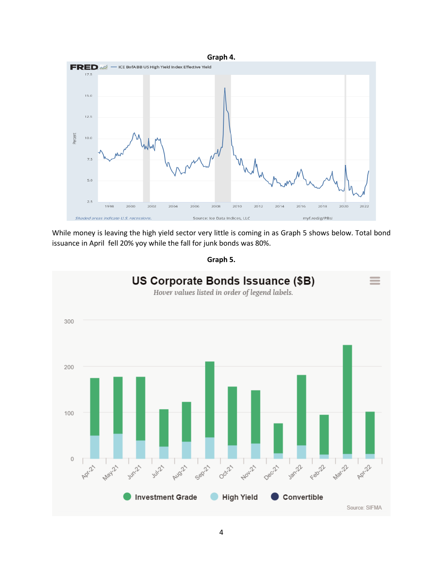

While money is leaving the high yield sector very little is coming in as Graph 5 shows below. Total bond issuance in April fell 20% yoy while the fall for junk bonds was 80%.

**Graph 5.**

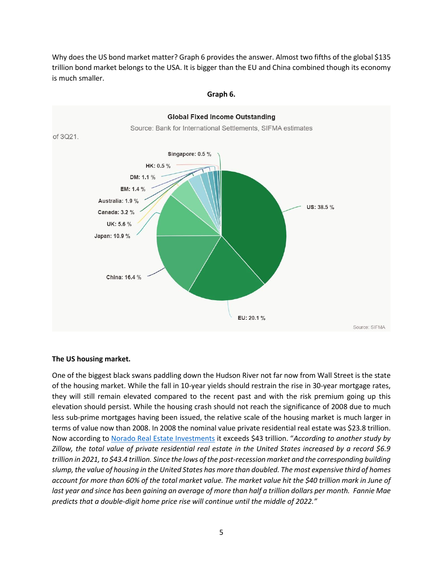Why does the US bond market matter? Graph 6 provides the answer. Almost two fifths of the global \$135 trillion bond market belongs to the USA. It is bigger than the EU and China combined though its economy is much smaller.



#### **Graph 6.**

#### **The US housing market.**

One of the biggest black swans paddling down the Hudson River not far now from Wall Street is the state of the housing market. While the fall in 10-year yields should restrain the rise in 30-year mortgage rates, they will still remain elevated compared to the recent past and with the risk premium going up this elevation should persist. While the housing crash should not reach the significance of 2008 due to much less sub-prime mortgages having been issued, the relative scale of the housing market is much larger in terms of value now than 2008. In 2008 the nominal value private residential real estate was \$23.8 trillion. Now according t[o Norado Real Estate Investments](https://www.noradarealestate.com/blog/housing-market-predictions/) it exceeds \$43 trillion. "*According to another study by Zillow, the total value of private residential real estate in the United States increased by a record \$6.9 trillion in 2021, to \$43.4 trillion. Since the lows of the post-recession market and the corresponding building slump, the value of housing in the United States has more than doubled. The most expensive third of homes account for more than 60% of the total market value. The market value hit the \$40 trillion mark in June of last year and since has been gaining an average of more than half a trillion dollars per month. Fannie Mae predicts that a double-digit home price rise will continue until the middle of 2022."*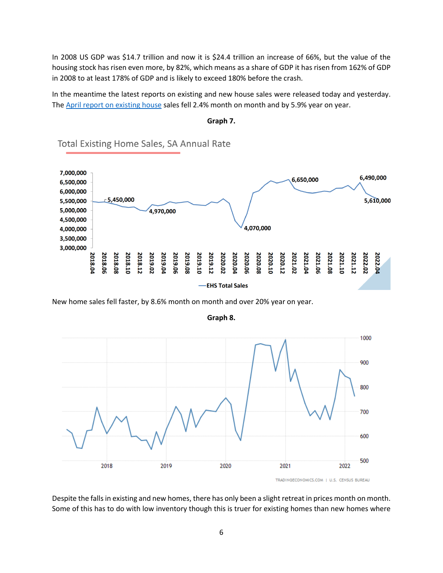In 2008 US GDP was \$14.7 trillion and now it is \$24.4 trillion an increase of 66%, but the value of the housing stock has risen even more, by 82%, which means as a share of GDP it has risen from 162% of GDP in 2008 to at least 178% of GDP and is likely to exceed 180% before the crash.

In the meantime the latest reports on existing and new house sales were released today and yesterday. The April report [on existing house](https://cdn.nar.realtor/sites/default/files/documents/ehs-04-2022-summary-2022-05-19.pdf) sales fell 2.4% month on month and by 5.9% year on year.

**Graph 7.**



Total Existing Home Sales, SA Annual Rate

New home sales fell faster, by 8.6% month on month and over 20% year on year.



**Graph 8.**

TRADINGECONOMICS.COM | U.S. CENSUS BUREAU

Despite the falls in existing and new homes, there has only been a slight retreat in prices month on month. Some of this has to do with low inventory though this is truer for existing homes than new homes where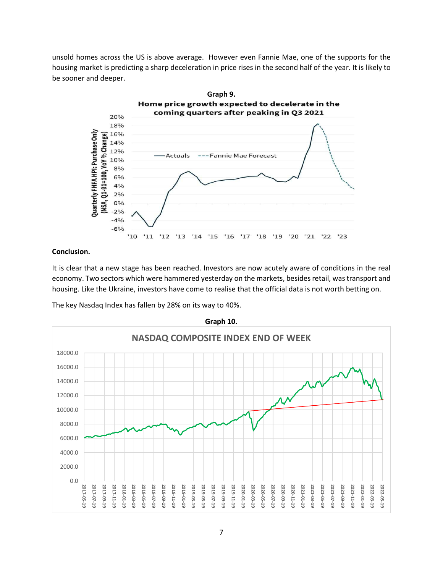unsold homes across the US is above average. However even Fannie Mae, one of the supports for the housing market is predicting a sharp deceleration in price rises in the second half of the year. It is likely to be sooner and deeper.



### **Conclusion.**

It is clear that a new stage has been reached. Investors are now acutely aware of conditions in the real economy. Two sectors which were hammered yesterday on the markets, besides retail, was transport and housing. Like the Ukraine, investors have come to realise that the official data is not worth betting on.



The key Nasdaq Index has fallen by 28% on its way to 40%.